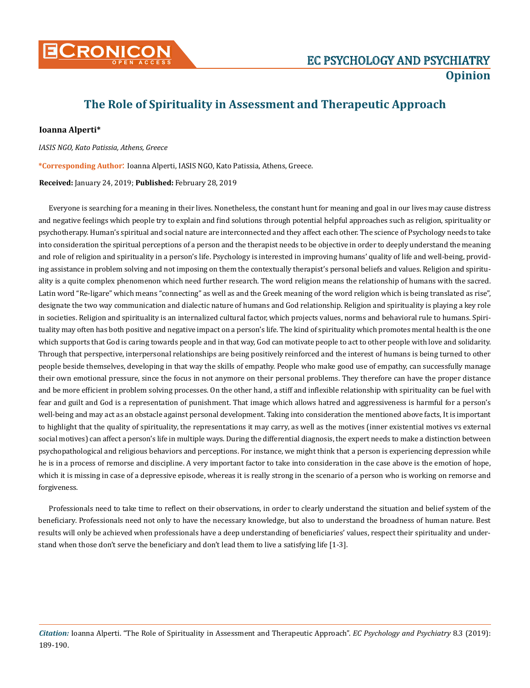

## **The Role of Spirituality in Assessment and Therapeutic Approach**

## **Ioanna Alperti\***

*IASIS NGO, Kato Patissia, Athens, Greece*

**\*Corresponding Author**: Ioanna Alperti, IASIS NGO, Kato Patissia, Athens, Greece.

**Received:** January 24, 2019; **Published:** February 28, 2019

Everyone is searching for a meaning in their lives. Nonetheless, the constant hunt for meaning and goal in our lives may cause distress and negative feelings which people try to explain and find solutions through potential helpful approaches such as religion, spirituality or psychotherapy. Human's spiritual and social nature are interconnected and they affect each other. The science of Psychology needs to take into consideration the spiritual perceptions of a person and the therapist needs to be objective in order to deeply understand the meaning and role of religion and spirituality in a person's life. Psychology is interested in improving humans' quality of life and well-being, providing assistance in problem solving and not imposing on them the contextually therapist's personal beliefs and values. Religion and spirituality is a quite complex phenomenon which need further research. The word religion means the relationship of humans with the sacred. Latin word "Re-ligare" which means "connecting" as well as and the Greek meaning of the word religion which is being translated as rise", designate the two way communication and dialectic nature of humans and God relationship. Religion and spirituality is playing a key role in societies. Religion and spirituality is an internalized cultural factor, which projects values, norms and behavioral rule to humans. Spirituality may often has both positive and negative impact on a person's life. The kind of spirituality which promotes mental health is the one which supports that God is caring towards people and in that way, God can motivate people to act to other people with love and solidarity. Through that perspective, interpersonal relationships are being positively reinforced and the interest of humans is being turned to other people beside themselves, developing in that way the skills of empathy. People who make good use of empathy, can successfully manage their own emotional pressure, since the focus in not anymore on their personal problems. They therefore can have the proper distance and be more efficient in problem solving processes. On the other hand, a stiff and inflexible relationship with spirituality can be fuel with fear and guilt and God is a representation of punishment. That image which allows hatred and aggressiveness is harmful for a person's well-being and may act as an obstacle against personal development. Taking into consideration the mentioned above facts, It is important to highlight that the quality of spirituality, the representations it may carry, as well as the motives (inner existential motives vs external social motives) can affect a person's life in multiple ways. During the differential diagnosis, the expert needs to make a distinction between psychopathological and religious behaviors and perceptions. For instance, we might think that a person is experiencing depression while he is in a process of remorse and discipline. A very important factor to take into consideration in the case above is the emotion of hope, which it is missing in case of a depressive episode, whereas it is really strong in the scenario of a person who is working on remorse and forgiveness.

Professionals need to take time to reflect on their observations, in order to clearly understand the situation and belief system of the beneficiary. Professionals need not only to have the necessary knowledge, but also to understand the broadness of human nature. Best results will only be achieved when professionals have a deep understanding of beneficiaries' values, respect their spirituality and understand when those don't serve the beneficiary and don't lead them to live a satisfying life [1-3].

*Citation:* Ioanna Alperti. "The Role of Spirituality in Assessment and Therapeutic Approach". *EC Psychology and Psychiatry* 8.3 (2019): 189-190.